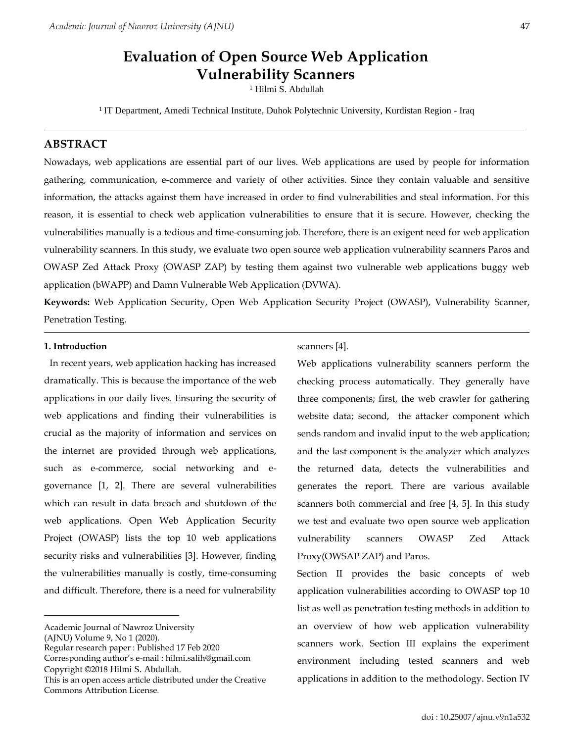# **Evaluation of Open Source Web Application Vulnerability Scanners**

Hilmi S. Abdullah

<sup>1</sup> IT Department, Amedi Technical Institute, Duhok Polytechnic University, Kurdistan Region - Iraq

# **ABSTRACT**

Nowadays, web applications are essential part of our lives. Web applications are used by people for information gathering, communication, e-commerce and variety of other activities. Since they contain valuable and sensitive information, the attacks against them have increased in order to find vulnerabilities and steal information. For this reason, it is essential to check web application vulnerabilities to ensure that it is secure. However, checking the vulnerabilities manually is a tedious and time-consuming job. Therefore, there is an exigent need for web application vulnerability scanners. In this study, we evaluate two open source web application vulnerability scanners Paros and OWASP Zed Attack Proxy (OWASP ZAP) by testing them against two vulnerable web applications buggy web application (bWAPP) and Damn Vulnerable Web Application (DVWA).

**Keywords:** Web Application Security, Open Web Application Security Project (OWASP), Vulnerability Scanner, Penetration Testing.

#### **1. Introduction**

In recent years, web application hacking has increased dramatically. This is because the importance of the web applications in our daily lives. Ensuring the security of web applications and finding their vulnerabilities is crucial as the majority of information and services on the internet are provided through web applications, such as e-commerce, social networking and egovernance [1, 2]. There are several vulnerabilities which can result in data breach and shutdown of the web applications. Open Web Application Security Project (OWASP) lists the top 10 web applications security risks and vulnerabilities [3]. However, finding the vulnerabilities manually is costly, time-consuming and difficult. Therefore, there is a need for vulnerability

Corresponding author's e-mail : hilmi.salih@gmail.com Copyright ©2018 Hilmi S. Abdullah.

scanners [4].

Web applications vulnerability scanners perform the checking process automatically. They generally have three components; first, the web crawler for gathering website data; second, the attacker component which sends random and invalid input to the web application; and the last component is the analyzer which analyzes the returned data, detects the vulnerabilities and generates the report. There are various available scanners both commercial and free [4, 5]. In this study we test and evaluate two open source web application vulnerability scanners OWASP Zed Attack Proxy(OWSAP ZAP) and Paros.

Section II provides the basic concepts of web application vulnerabilities according to OWASP top 10 list as well as penetration testing methods in addition to an overview of how web application vulnerability scanners work. Section III explains the experiment environment including tested scanners and web applications in addition to the methodology. Section IV

Academic Journal of Nawroz University

<sup>(</sup>AJNU) Volume 9, No 1 (2020).

Regular research paper : Published 17 Feb 2020

This is an open access article distributed under the Creative Commons Attribution License.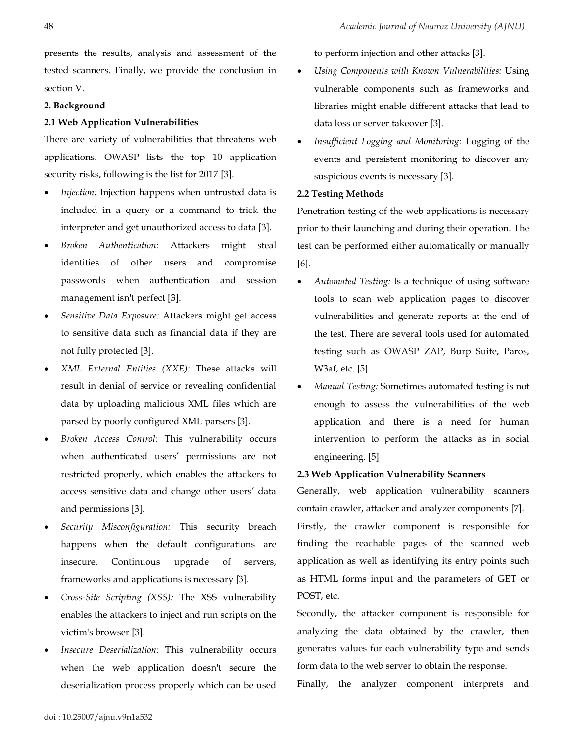presents the results, analysis and assessment of the tested scanners. Finally, we provide the conclusion in section V.

### **2. Background**

## **2.1 Web Application Vulnerabilities**

There are variety of vulnerabilities that threatens web applications. OWASP lists the top 10 application security risks, following is the list for 2017 [3].

- *Injection:* Injection happens when untrusted data is included in a query or a command to trick the interpreter and get unauthorized access to data [3].
- *Broken Authentication:* Attackers might steal identities of other users and compromise passwords when authentication and session management isn't perfect [3].
- *Sensitive Data Exposure:* Attackers might get access to sensitive data such as financial data if they are not fully protected [3].
- *XML External Entities (XXE):* These attacks will result in denial of service or revealing confidential data by uploading malicious XML files which are parsed by poorly configured XML parsers [3].
- *Broken Access Control:* This vulnerability occurs when authenticated users' permissions are not restricted properly, which enables the attackers to access sensitive data and change other users' data and permissions [3].
- *Security Misconfiguration:* This security breach happens when the default configurations are insecure. Continuous upgrade of servers, frameworks and applications is necessary [3].
- *Cross-Site Scripting (XSS):* The XSS vulnerability enables the attackers to inject and run scripts on the victim's browser [3].
- *Insecure Deserialization:* This vulnerability occurs when the web application doesn't secure the deserialization process properly which can be used

to perform injection and other attacks [3].

- *Using Components with Known Vulnerabilities:* Using vulnerable components such as frameworks and libraries might enable different attacks that lead to data loss or server takeover [3].
- *Insufficient Logging and Monitoring:* Logging of the events and persistent monitoring to discover any suspicious events is necessary [3].

#### **2.2 Testing Methods**

Penetration testing of the web applications is necessary prior to their launching and during their operation. The test can be performed either automatically or manually [6].

- *Automated Testing:* Is a technique of using software tools to scan web application pages to discover vulnerabilities and generate reports at the end of the test. There are several tools used for automated testing such as OWASP ZAP, Burp Suite, Paros, W3af, etc. [5]
- *Manual Testing:* Sometimes automated testing is not enough to assess the vulnerabilities of the web application and there is a need for human intervention to perform the attacks as in social engineering. [5]

# **2.3 Web Application Vulnerability Scanners**

Generally, web application vulnerability scanners contain crawler, attacker and analyzer components [7]. Firstly, the crawler component is responsible for finding the reachable pages of the scanned web application as well as identifying its entry points such as HTML forms input and the parameters of GET or POST, etc.

Secondly, the attacker component is responsible for analyzing the data obtained by the crawler, then generates values for each vulnerability type and sends form data to the web server to obtain the response.

Finally, the analyzer component interprets and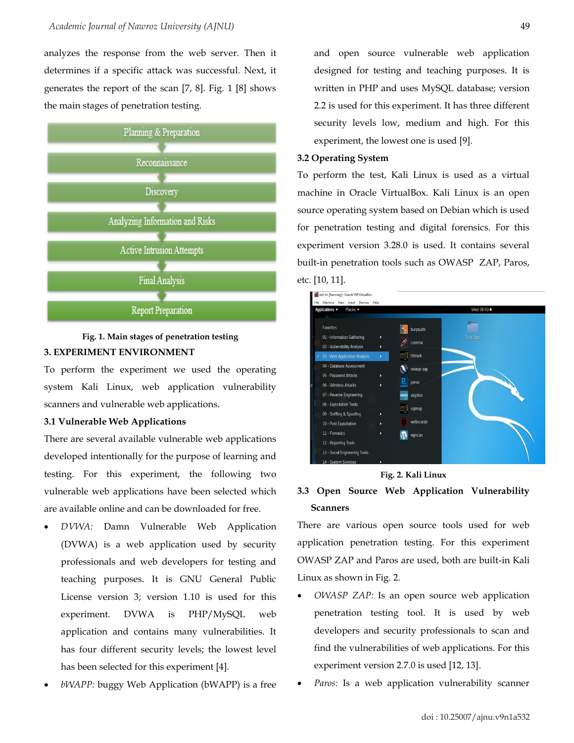analyzes the response from the web server. Then it determines if a specific attack was successful. Next, it generates the report of the scan [7, 8]. Fig. 1 [8] shows the main stages of penetration testing.



# **Fig. 1. Main stages of penetration testing 3. EXPERIMENT ENVIRONMENT**

To perform the experiment we used the operating system Kali Linux, web application vulnerability scanners and vulnerable web applications.

## **3.1 Vulnerable Web Applications**

There are several available vulnerable web applications developed intentionally for the purpose of learning and testing. For this experiment, the following two vulnerable web applications have been selected which are available online and can be downloaded for free.

- *DVWA:* Damn Vulnerable Web Application (DVWA) is a web application used by security professionals and web developers for testing and teaching purposes. It is GNU General Public License version 3; version 1.10 is used for this experiment. DVWA is PHP/MySQL web application and contains many vulnerabilities. It has four different security levels; the lowest level has been selected for this experiment [4].
- *bWAPP:* buggy Web Application (bWAPP) is a free

and open source vulnerable web application designed for testing and teaching purposes. It is written in PHP and uses MySQL database; version 2.2 is used for this experiment. It has three different security levels low, medium and high. For this experiment, the lowest one is used [9].

#### **3.2 Operating System**

To perform the test, Kali Linux is used as a virtual machine in Oracle VirtualBox. Kali Linux is an open source operating system based on Debian which is used for penetration testing and digital forensics. For this experiment version 3.28.0 is used. It contains several built-in penetration tools such as OWASP ZAP, Paros, etc. [10, 11].





# **3.3 Open Source Web Application Vulnerability Scanners**

There are various open source tools used for web application penetration testing. For this experiment OWASP ZAP and Paros are used, both are built-in Kali Linux as shown in Fig. 2.

- *OWASP ZAP:* Is an open source web application penetration testing tool. It is used by web developers and security professionals to scan and find the vulnerabilities of web applications. For this experiment version 2.7.0 is used [12, 13].
- Paros: Is a web application vulnerability scanner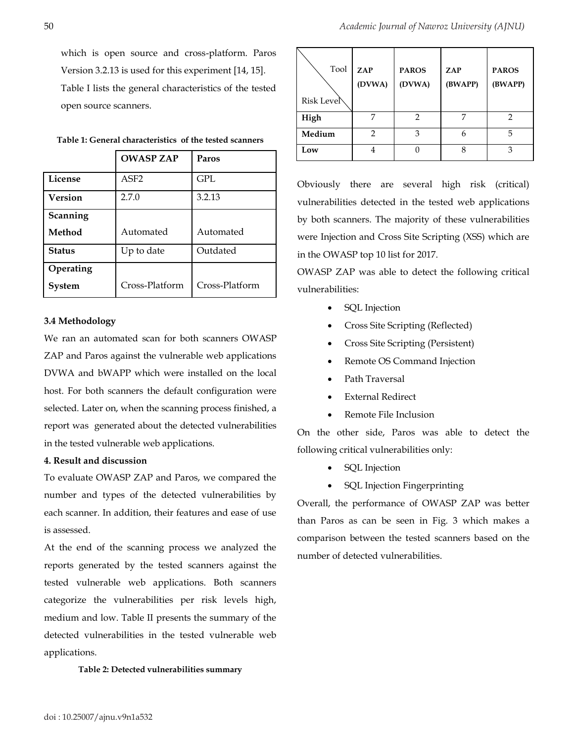which is open source and cross-platform. Paros Version 3.2.13 is used for this experiment [14, 15]. Table I lists the general characteristics of the tested open source scanners.

| Table 1: General characteristics of the tested scanners |  |
|---------------------------------------------------------|--|
|---------------------------------------------------------|--|

|                | <b>OWASP ZAP</b> | Paros          |  |
|----------------|------------------|----------------|--|
| License        | ASF <sub>2</sub> | <b>GPL</b>     |  |
| <b>Version</b> | 2.7.0            | 3.2.13         |  |
| Scanning       |                  |                |  |
| Method         | Automated        | Automated      |  |
| <b>Status</b>  | Up to date       | Outdated       |  |
| Operating      |                  |                |  |
| <b>System</b>  | Cross-Platform   | Cross-Platform |  |

#### **3.4 Methodology**

We ran an automated scan for both scanners OWASP ZAP and Paros against the vulnerable web applications DVWA and bWAPP which were installed on the local host. For both scanners the default configuration were selected. Later on, when the scanning process finished, a report was generated about the detected vulnerabilities in the tested vulnerable web applications.

#### **4. Result and discussion**

To evaluate OWASP ZAP and Paros, we compared the number and types of the detected vulnerabilities by each scanner. In addition, their features and ease of use is assessed.

At the end of the scanning process we analyzed the reports generated by the tested scanners against the tested vulnerable web applications. Both scanners categorize the vulnerabilities per risk levels high, medium and low. Table II presents the summary of the detected vulnerabilities in the tested vulnerable web applications.

**Table 2: Detected vulnerabilities summary**

| Tool<br>Risk Level <sup>®</sup> | ZAP<br>(DVWA)  | <b>PAROS</b><br>(DVWA) | ZAP<br>(BWAPP) | <b>PAROS</b><br>(BWAPP) |
|---------------------------------|----------------|------------------------|----------------|-------------------------|
| High                            |                | 2                      |                | 2                       |
| Medium                          | $\overline{2}$ | 3                      | 6              | 5                       |
| Low                             | 4              |                        | 8              | 3                       |

Obviously there are several high risk (critical) vulnerabilities detected in the tested web applications by both scanners. The majority of these vulnerabilities were Injection and Cross Site Scripting (XSS) which are in the OWASP top 10 list for 2017.

OWASP ZAP was able to detect the following critical vulnerabilities:

- SQL Injection
- Cross Site Scripting (Reflected)
- Cross Site Scripting (Persistent)
- Remote OS Command Injection
- Path Traversal
- External Redirect
- Remote File Inclusion

On the other side, Paros was able to detect the following critical vulnerabilities only:

- SQL Injection
- SQL Injection Fingerprinting

Overall, the performance of OWASP ZAP was better than Paros as can be seen in Fig. 3 which makes a comparison between the tested scanners based on the number of detected vulnerabilities.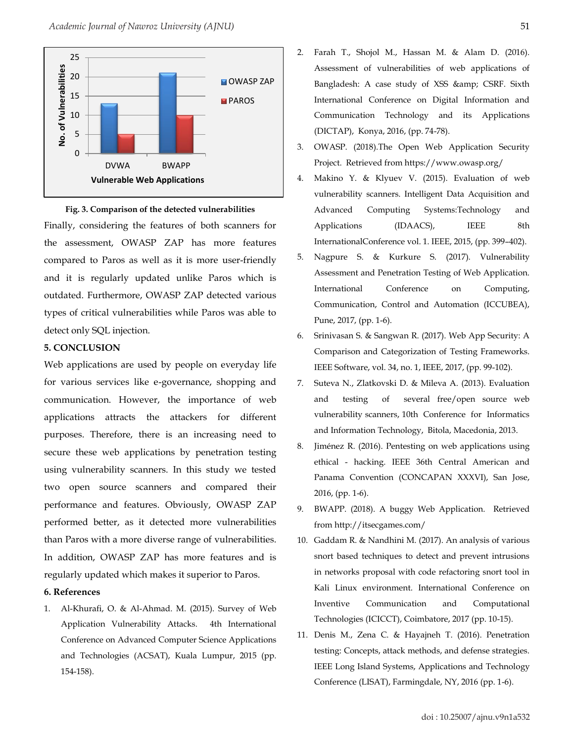

**Fig. 3. Comparison of the detected vulnerabilities** Finally, considering the features of both scanners for the assessment, OWASP ZAP has more features compared to Paros as well as it is more user-friendly and it is regularly updated unlike Paros which is outdated. Furthermore, OWASP ZAP detected various types of critical vulnerabilities while Paros was able to detect only SQL injection.

# **5. CONCLUSION**

Web applications are used by people on everyday life for various services like e-governance, shopping and communication. However, the importance of web applications attracts the attackers for different purposes. Therefore, there is an increasing need to secure these web applications by penetration testing using vulnerability scanners. In this study we tested two open source scanners and compared their performance and features. Obviously, OWASP ZAP performed better, as it detected more vulnerabilities than Paros with a more diverse range of vulnerabilities. In addition, OWASP ZAP has more features and is regularly updated which makes it superior to Paros.

## **6. References**

1. Al-Khurafi, O. & Al-Ahmad. M. (2015). Survey of Web Application Vulnerability Attacks. 4th International Conference on Advanced Computer Science Applications and Technologies (ACSAT), Kuala Lumpur, 2015 (pp. 154-158).

- 2. Farah T., Shojol M., Hassan M. & Alam D. (2016). Assessment of vulnerabilities of web applications of Bangladesh: A case study of XSS & amp; CSRF. Sixth International Conference on Digital Information and Communication Technology and its Applications (DICTAP), Konya, 2016, (pp. 74-78).
- 3. OWASP. (2018).The Open Web Application Security Project. Retrieved from https://www.owasp.org/
- 4. Makino Y. & Klyuev V. (2015). Evaluation of web vulnerability scanners. Intelligent Data Acquisition and Advanced Computing Systems:Technology and Applications (IDAACS), IEEE 8th InternationalConference vol. 1. IEEE, 2015, (pp. 399–402).
- 5. Nagpure S. & Kurkure S. (2017). Vulnerability Assessment and Penetration Testing of Web Application. International Conference on Computing, Communication, Control and Automation (ICCUBEA), Pune, 2017, (pp. 1-6).
- 6. Srinivasan S. & Sangwan R. (2017). Web App Security: A Comparison and Categorization of Testing Frameworks. IEEE Software, vol. 34, no. 1, IEEE, 2017, (pp. 99-102).
- 7. Suteva N., Zlatkovski D. & Mileva A. (2013). Evaluation and testing of several free/open source web vulnerability scanners, 10th Conference for Informatics and Information Technology, Bitola, Macedonia, 2013.
- 8. Jiménez R. (2016). Pentesting on web applications using ethical - hacking. IEEE 36th Central American and Panama Convention (CONCAPAN XXXVI), San Jose, 2016, (pp. 1-6).
- 9. BWAPP. (2018). A buggy Web Application. Retrieved from http://itsecgames.com/
- 10. Gaddam R. & Nandhini M. (2017). An analysis of various snort based techniques to detect and prevent intrusions in networks proposal with code refactoring snort tool in Kali Linux environment. International Conference on Inventive Communication and Computational Technologies (ICICCT), Coimbatore, 2017 (pp. 10-15).
- 11. Denis M., Zena C. & Hayajneh T. (2016). Penetration testing: Concepts, attack methods, and defense strategies. IEEE Long Island Systems, Applications and Technology Conference (LISAT), Farmingdale, NY, 2016 (pp. 1-6).